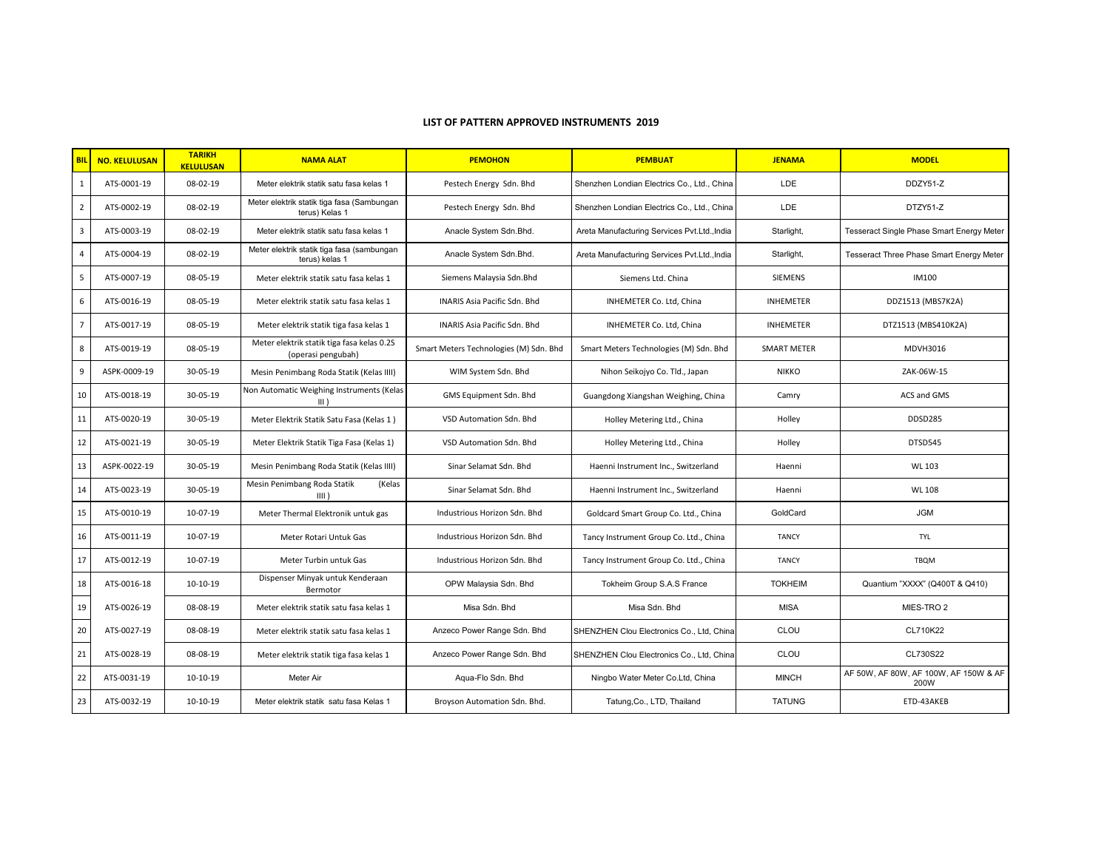## **LIST OF PATTERN APPROVED INSTRUMENTS 2019**

| <b>BIL</b>     | <b>NO. KELULUSAN</b> | <b>TARIKH</b><br><b>KELULUSAN</b> | <b>NAMA ALAT</b>                                                 | <b>PEMOHON</b>                         | <b>PEMBUAT</b>                               | <b>JENAMA</b>      | <b>MODEL</b>                                  |
|----------------|----------------------|-----------------------------------|------------------------------------------------------------------|----------------------------------------|----------------------------------------------|--------------------|-----------------------------------------------|
| $\mathbf{1}$   | ATS-0001-19          | 08-02-19                          | Meter elektrik statik satu fasa kelas 1                          | Pestech Energy Sdn. Bhd                | Shenzhen Londian Electrics Co., Ltd., China  | LDE                | DDZY51-Z                                      |
| $\overline{2}$ | ATS-0002-19          | 08-02-19                          | Meter elektrik statik tiga fasa (Sambungan<br>terus) Kelas 1     | Pestech Energy Sdn. Bhd                | Shenzhen Londian Electrics Co., Ltd., China  | LDE                | DTZY51-Z                                      |
| $\overline{3}$ | ATS-0003-19          | 08-02-19                          | Meter elektrik statik satu fasa kelas 1                          | Anacle System Sdn.Bhd.                 | Areta Manufacturing Services Pvt.Ltd., India | Starlight,         | Tesseract Single Phase Smart Energy Meter     |
| $\overline{4}$ | ATS-0004-19          | 08-02-19                          | Meter elektrik statik tiga fasa (sambungan<br>terus) kelas 1     | Anacle System Sdn.Bhd.                 | Areta Manufacturing Services Pvt.Ltd., India | Starlight,         | Tesseract Three Phase Smart Energy Meter      |
| 5              | ATS-0007-19          | 08-05-19                          | Meter elektrik statik satu fasa kelas 1                          | Siemens Malaysia Sdn.Bhd               | Siemens Ltd. China                           | <b>SIEMENS</b>     | <b>IM100</b>                                  |
| 6              | ATS-0016-19          | 08-05-19                          | Meter elektrik statik satu fasa kelas 1                          | INARIS Asia Pacific Sdn. Bhd           | INHEMETER Co. Ltd, China                     | <b>INHEMETER</b>   | DDZ1513 (MBS7K2A)                             |
| $\overline{7}$ | ATS-0017-19          | 08-05-19                          | Meter elektrik statik tiga fasa kelas 1                          | INARIS Asia Pacific Sdn. Bhd           | INHEMETER Co. Ltd, China                     | <b>INHEMETER</b>   | DTZ1513 (MBS410K2A)                           |
| 8              | ATS-0019-19          | 08-05-19                          | Meter elektrik statik tiga fasa kelas 0.2S<br>(operasi pengubah) | Smart Meters Technologies (M) Sdn. Bhd | Smart Meters Technologies (M) Sdn. Bhd       | <b>SMART METER</b> | MDVH3016                                      |
| 9              | ASPK-0009-19         | 30-05-19                          | Mesin Penimbang Roda Statik (Kelas IIII)                         | WIM System Sdn. Bhd                    | Nihon Seikojyo Co. Tld., Japan               | <b>NIKKO</b>       | ZAK-06W-15                                    |
| 10             | ATS-0018-19          | 30-05-19                          | Non Automatic Weighing Instruments (Kelas<br>$III$ )             | GMS Equipment Sdn. Bhd                 | Guangdong Xiangshan Weighing, China          | Camry              | ACS and GMS                                   |
| 11             | ATS-0020-19          | 30-05-19                          | Meter Elektrik Statik Satu Fasa (Kelas 1)                        | VSD Automation Sdn. Bhd                | Holley Metering Ltd., China                  | Holley             | <b>DDSD285</b>                                |
| 12             | ATS-0021-19          | 30-05-19                          | Meter Elektrik Statik Tiga Fasa (Kelas 1)                        | VSD Automation Sdn. Bhd                | Holley Metering Ltd., China                  | Holley             | DTSD545                                       |
| 13             | ASPK-0022-19         | 30-05-19                          | Mesin Penimbang Roda Statik (Kelas IIII)                         | Sinar Selamat Sdn. Bhd                 | Haenni Instrument Inc., Switzerland          | Haenni             | WL 103                                        |
| 14             | ATS-0023-19          | 30-05-19                          | Mesin Penimbang Roda Statik<br>(Kelas<br>$III$ )                 | Sinar Selamat Sdn. Bhd                 | Haenni Instrument Inc., Switzerland          | Haenni             | <b>WL 108</b>                                 |
| 15             | ATS-0010-19          | 10-07-19                          | Meter Thermal Elektronik untuk gas                               | Industrious Horizon Sdn. Bhd           | Goldcard Smart Group Co. Ltd., China         | GoldCard           | <b>JGM</b>                                    |
| 16             | ATS-0011-19          | 10-07-19                          | Meter Rotari Untuk Gas                                           | Industrious Horizon Sdn. Bhd           | Tancy Instrument Group Co. Ltd., China       | <b>TANCY</b>       | <b>TYL</b>                                    |
| 17             | ATS-0012-19          | 10-07-19                          | Meter Turbin untuk Gas                                           | Industrious Horizon Sdn. Bhd           | Tancy Instrument Group Co. Ltd., China       | <b>TANCY</b>       | <b>TBOM</b>                                   |
| 18             | ATS-0016-18          | 10-10-19                          | Dispenser Minyak untuk Kenderaan<br>Bermotor                     | OPW Malaysia Sdn. Bhd                  | Tokheim Group S.A.S France                   | <b>TOKHEIM</b>     | Quantium "XXXX" (Q400T & Q410)                |
| 19             | ATS-0026-19          | 08-08-19                          | Meter elektrik statik satu fasa kelas 1                          | Misa Sdn, Bhd                          | Misa Sdn, Bhd                                | <b>MISA</b>        | MIES-TRO <sub>2</sub>                         |
| 20             | ATS-0027-19          | 08-08-19                          | Meter elektrik statik satu fasa kelas 1                          | Anzeco Power Range Sdn. Bhd            | SHENZHEN Clou Electronics Co., Ltd, China    | CLOU               | CL710K22                                      |
| 21             | ATS-0028-19          | 08-08-19                          | Meter elektrik statik tiga fasa kelas 1                          | Anzeco Power Range Sdn. Bhd            | SHENZHEN Clou Electronics Co., Ltd, China    | CLOU               | CL730S22                                      |
| 22             | ATS-0031-19          | 10-10-19                          | Meter Air                                                        | Aqua-Flo Sdn. Bhd                      | Ningbo Water Meter Co.Ltd, China             | <b>MINCH</b>       | AF 50W, AF 80W, AF 100W, AF 150W & AF<br>200W |
| 23             | ATS-0032-19          | 10-10-19                          | Meter elektrik statik satu fasa Kelas 1                          | Broyson Automation Sdn. Bhd.           | Tatung, Co., LTD, Thailand                   | <b>TATUNG</b>      | ETD-43AKEB                                    |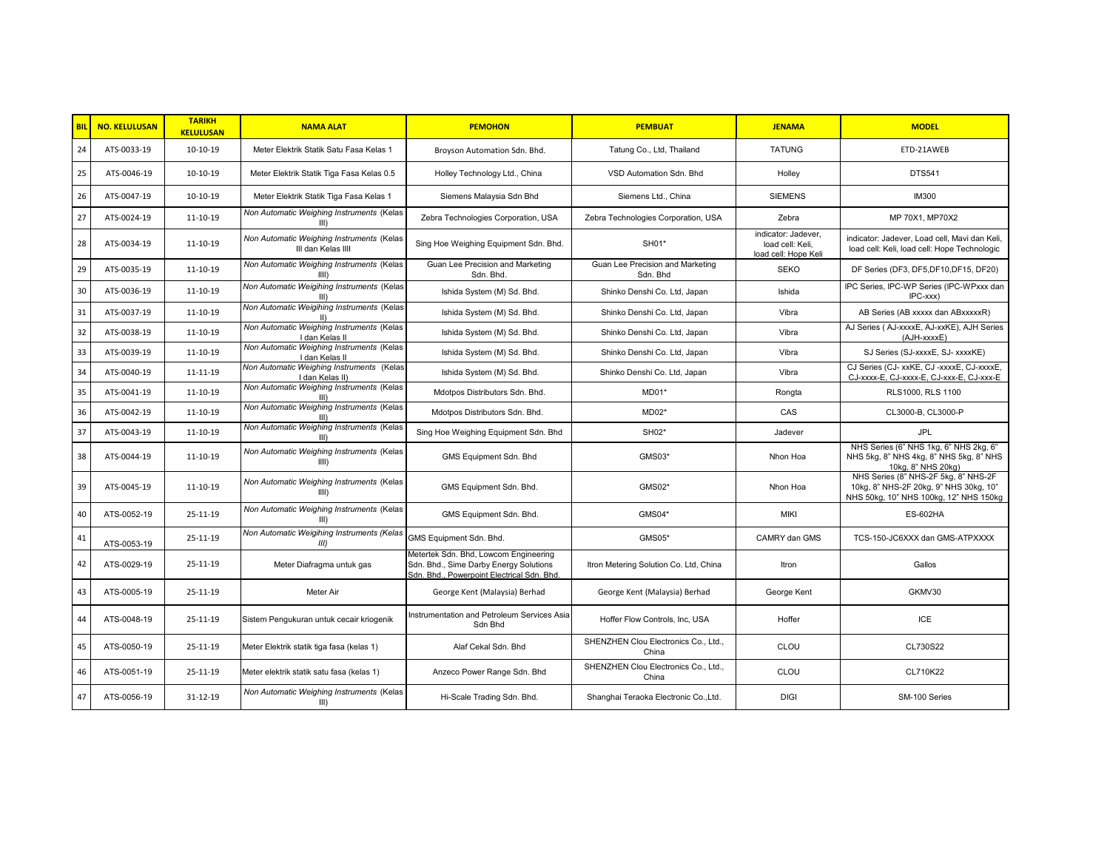| <b>BIL</b> | <b>NO. KELULUSAN</b> | <b>TARIKH</b><br><b>KELULUSAN</b> | <b>NAMA ALAT</b>                                                | <b>PEMOHON</b>                                                                                                                | <b>PEMBUAT</b>                                | <b>JENAMA</b>                                                   | <b>MODEL</b>                                                                                                             |
|------------|----------------------|-----------------------------------|-----------------------------------------------------------------|-------------------------------------------------------------------------------------------------------------------------------|-----------------------------------------------|-----------------------------------------------------------------|--------------------------------------------------------------------------------------------------------------------------|
| 24         | ATS-0033-19          | 10-10-19                          | Meter Elektrik Statik Satu Fasa Kelas 1                         | Broyson Automation Sdn. Bhd.                                                                                                  | Tatung Co., Ltd, Thailand                     | <b>TATUNG</b>                                                   | ETD-21AWEB                                                                                                               |
| 25         | ATS-0046-19          | 10-10-19                          | Meter Elektrik Statik Tiga Fasa Kelas 0.5                       | Holley Technology Ltd., China                                                                                                 | VSD Automation Sdn. Bhd                       | Holley                                                          | DTS541                                                                                                                   |
| 26         | ATS-0047-19          | 10-10-19                          | Meter Elektrik Statik Tiga Fasa Kelas 1                         | Siemens Malaysia Sdn Bhd                                                                                                      | Siemens Ltd., China                           | <b>SIEMENS</b>                                                  | <b>IM300</b>                                                                                                             |
| 27         | ATS-0024-19          | 11-10-19                          | Non Automatic Weighing Instruments (Kelas<br>III                | Zebra Technologies Corporation, USA                                                                                           | Zebra Technologies Corporation, USA           | Zebra                                                           | MP 70X1, MP70X2                                                                                                          |
| 28         | ATS-0034-19          | 11-10-19                          | Non Automatic Weighing Instruments (Kelas<br>III dan Kelas IIII | Sing Hoe Weighing Equipment Sdn. Bhd.                                                                                         | SH01*                                         | indicator: Jadever.<br>load cell: Keli.<br>load cell: Hope Keli | indicator: Jadever, Load cell, Mavi dan Keli,<br>load cell: Keli, load cell: Hope Technologic                            |
| 29         | ATS-0035-19          | 11-10-19                          | Non Automatic Weighing Instruments (Kelas<br>$III$ )            | Guan Lee Precision and Marketing<br>Sdn. Bhd.                                                                                 | Guan Lee Precision and Marketing<br>Sdn, Bhd  | <b>SEKO</b>                                                     | DF Series (DF3, DF5, DF10, DF15, DF20)                                                                                   |
| 30         | ATS-0036-19          | 11-10-19                          | Non Automatic Weigihing Instruments (Kelas<br>$III$ )           | Ishida System (M) Sd. Bhd.                                                                                                    | Shinko Denshi Co. Ltd, Japan                  | Ishida                                                          | IPC Series, IPC-WP Series (IPC-WPxxx dan<br>$IPC$ - $xxx)$                                                               |
| 31         | ATS-0037-19          | 11-10-19                          | Non Automatic Weigihing Instruments (Kelas<br>$\mathbf{H}$      | Ishida System (M) Sd. Bhd.                                                                                                    | Shinko Denshi Co. Ltd, Japan                  | Vibra                                                           | AB Series (AB xxxxx dan ABxxxxxR)                                                                                        |
| 32         | ATS-0038-19          | 11-10-19                          | Non Automatic Weighing Instruments (Kelas<br>I dan Kelas II     | Ishida System (M) Sd. Bhd.                                                                                                    | Shinko Denshi Co. Ltd, Japan                  | Vibra                                                           | AJ Series (AJ-xxxxE, AJ-xxKE), AJH Series<br>(AJH-xxxxE)                                                                 |
| 33         | ATS-0039-19          | 11-10-19                          | Non Automatic Weighing Instruments (Kelas<br>I dan Kelas II     | Ishida System (M) Sd. Bhd.                                                                                                    | Shinko Denshi Co. Ltd, Japan                  | Vibra                                                           | SJ Series (SJ-xxxxE, SJ- xxxxKE)                                                                                         |
| 34         | ATS-0040-19          | 11-11-19                          | Non Automatic Weighing Instruments (Kelas<br>I dan Kelas II)    | Ishida System (M) Sd. Bhd.                                                                                                    | Shinko Denshi Co. Ltd, Japan                  | Vibra                                                           | CJ Series (CJ- xxKE, CJ-xxxxE, CJ-xxxxE,<br>CJ-xxxx-E, CJ-xxxx-E, CJ-xxx-E, CJ-xxx-E                                     |
| 35         | ATS-0041-19          | 11-10-19                          | Non Automatic Weighing Instruments (Kelas<br>III                | Mdotpos Distributors Sdn. Bhd.                                                                                                | MD01*                                         | Rongta                                                          | RLS1000, RLS 1100                                                                                                        |
| 36         | ATS-0042-19          | 11-10-19                          | Non Automatic Weighing Instruments (Kelas<br>III                | Mdotpos Distributors Sdn. Bhd.                                                                                                | MD02*                                         | CAS                                                             | CL3000-B, CL3000-P                                                                                                       |
| 37         | ATS-0043-19          | 11-10-19                          | Non Automatic Weighing Instruments (Kelas<br>$\parallel$ III)   | Sing Hoe Weighing Equipment Sdn. Bhd                                                                                          | SH02*                                         | Jadever                                                         | <b>JPL</b>                                                                                                               |
| 38         | ATS-0044-19          | 11-10-19                          | Non Automatic Weighing Instruments (Kelas<br>$III$ )            | GMS Equipment Sdn. Bhd                                                                                                        | GMS03*                                        | Nhon Hoa                                                        | NHS Series (6" NHS 1kg, 6" NHS 2kg, 6"<br>NHS 5kg, 8" NHS 4kg, 8" NHS 5kg, 8" NHS<br>10kg, 8" NHS 20kg)                  |
| 39         | ATS-0045-19          | 11-10-19                          | Non Automatic Weighing Instruments (Kelas<br>$III$ )            | GMS Equipment Sdn. Bhd.                                                                                                       | <b>GMS02*</b>                                 | Nhon Hoa                                                        | NHS Series (8" NHS-2F 5kg, 8" NHS-2F<br>10kg, 8" NHS-2F 20kg, 9" NHS 30kg, 10"<br>NHS 50kg, 10" NHS 100kg, 12" NHS 150kg |
| 40         | ATS-0052-19          | 25-11-19                          | Non Automatic Weighing Instruments (Kelas<br>III)               | GMS Equipment Sdn. Bhd.                                                                                                       | GMS04*                                        | <b>MIKI</b>                                                     | <b>ES-602HA</b>                                                                                                          |
| 41         | ATS-0053-19          | 25-11-19                          | Non Automatic Weigihing Instruments (Kelas<br>III               | GMS Equipment Sdn. Bhd.                                                                                                       | GMS05*                                        | CAMRY dan GMS                                                   | TCS-150-JC6XXX dan GMS-ATPXXXX                                                                                           |
| 42         | ATS-0029-19          | 25-11-19                          | Meter Diafragma untuk gas                                       | Metertek Sdn. Bhd, Lowcom Engineering<br>Sdn. Bhd., Sime Darby Energy Solutions<br>Sdn. Bhd., Powerpoint Electrical Sdn. Bhd. | Itron Metering Solution Co. Ltd, China        | Itron                                                           | Gallos                                                                                                                   |
| 43         | ATS-0005-19          | 25-11-19                          | Meter Air                                                       | George Kent (Malaysia) Berhad                                                                                                 | George Kent (Malaysia) Berhad                 | George Kent                                                     | GKMV30                                                                                                                   |
| 44         | ATS-0048-19          | 25-11-19                          | Sistem Pengukuran untuk cecair kriogenik                        | Instrumentation and Petroleum Services Asia<br>Sdn Bhd                                                                        | Hoffer Flow Controls, Inc, USA                | Hoffer                                                          | <b>ICE</b>                                                                                                               |
| 45         | ATS-0050-19          | 25-11-19                          | Meter Elektrik statik tiga fasa (kelas 1)                       | Alaf Cekal Sdn, Bhd                                                                                                           | SHENZHEN Clou Electronics Co., Ltd.,<br>China | CLOU                                                            | CL730S22                                                                                                                 |
| 46         | ATS-0051-19          | 25-11-19                          | Meter elektrik statik satu fasa (kelas 1)                       | Anzeco Power Range Sdn. Bhd                                                                                                   | SHENZHEN Clou Electronics Co., Ltd.,<br>China | CLOU                                                            | CL710K22                                                                                                                 |
| 47         | ATS-0056-19          | 31-12-19                          | Non Automatic Weighing Instruments (Kelas<br>III)               | Hi-Scale Trading Sdn. Bhd.                                                                                                    | Shanghai Teraoka Electronic Co., Ltd.         | <b>DIGI</b>                                                     | SM-100 Series                                                                                                            |